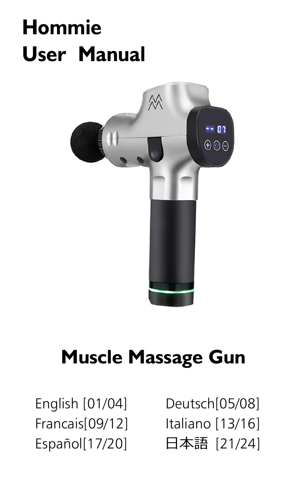# **Hommie User Manual**



## **Muscle Massage Gun**

English [01/04] Deutsch[05/08] Francais[09/12] Italiano [13/16] Español[17/20] 日本語 [21/24]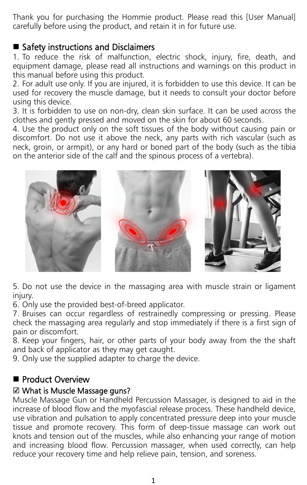Thank you for purchasing the Hommie product. Please read this [User Manual] carefully before using the product, and retain it in for future use.

#### ■ Safety instructions and Disclaimers

1. To reduce the risk of malfunction, electric shock, injury, fire, death, and equipment damage, please read all instructions and warnings on this product in this manual before using this product.

2. For adult use only. If you are injured, it is forbidden to use this device. It can be used for recovery the muscle damage, but it needs to consult your doctor before using this device.

3. It is forbidden to use on non-dry, clean skin surface. It can be used across the clothes and gently pressed and moved on the skin for about 60 seconds.

4. Use the product only on the soft tissues ofthe body without causing pain or discomfort. Do not use it above the neck, any parts with rich vascular (such as neck, groin, or armpit), or any hard or boned part of the body (such as the tibia on the anterior side of the calf and the spinous process of a vertebra).



5. Do not use the device in the massaging area with muscle strain or ligament injury.

6. Only use the provided best-of-breed applicator.

7. Bruises can occur regardless of restrainedly compressing or pressing. Please check the massaging area regularly and stop immediately if there is a first sign of pain or discomfort.

8. Keep your fingers, hair, or other parts of your body away from the the shaft and back of applicator as they may get caught.

9. Only use the supplied adapter to charge the device.

#### Product Overview

#### ☑ What is Muscle Massage guns?

Muscle Massage Gun or Handheld Percussion Massager, is designed to aid in the increase of blood flow and the myofascial release process. These handheld device, use vibration and pulsation to apply concentrated pressure deep into your muscle tissue and promote recovery. This form of deep-tissue massage can work out knots and tension out of the muscles, while also enhancing your range of motion and increasing blood flow. Percussion massager, when used correctly, can help reduce your recovery time and help relieve pain, tension, and soreness.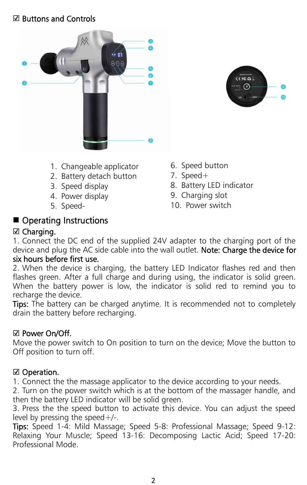#### ☑ Buttons and Controls





- 1. Changeable applicator
- 2. Battery detach button
- 3. Speed display
- 4. Power display
- 5. Speed-
- 6. Speed button
- 7. Speed+
- 8. Battery LED indicator
- 9. Charging slot
- 10. Power switch

#### Operating Instructions

#### ☑ Charging.

1. Connect the DC end of the supplied 24V adapter to the charging port of the device and plug the AC side cable into the wall outlet. Note: Charge the device for six hours before first use.

2. When the device is charging, the battery LED Indicator flashes red and then flashes green. After a full charge and during using, the indicator is solid green. When the battery power is low, the indicator is solid red to remind you to recharge the device.

Tips: The battery can be charged anytime. It is recommended not to completely drain the battery before recharging.

#### ☑ Power On/Off.

Move the power switch to On position to turn on the device; Move the button to Off position to turn off.

#### ☑ Operation.

1. Connect the the massage applicator to the device according to your needs.

2. Turn on the power switch which is at the bottom of the massager handle, and then the battery LED indicator will be solid green.

3. Press the the speed button to activate this device. You can adjust the speed level by pressing the speed+/-.

Tips: Speed 1-4: Mild Massage; Speed 5-8: Professional Massage; Speed 9-12: Relaxing Your Muscle; Speed 13-16: Decomposing Lactic Acid; Speed 17-20: Professional Mode.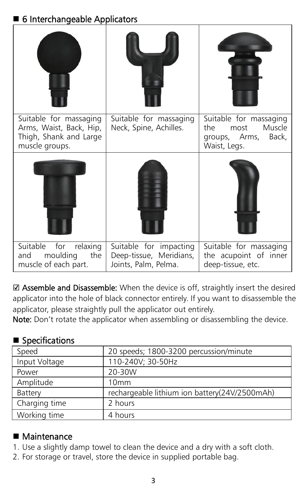### 6 Interchangeable Applicators

| Suitable for massaging<br>Arms, Waist, Back, Hip,<br>Thigh, Shank and Large<br>muscle groups. | Suitable for massaging<br>Neck, Spine, Achilles.                          | Suitable for massaging<br>the<br>Muscle<br>most<br>groups, Arms,<br>Back,<br>Waist, Legs. |
|-----------------------------------------------------------------------------------------------|---------------------------------------------------------------------------|-------------------------------------------------------------------------------------------|
|                                                                                               |                                                                           |                                                                                           |
| Suitable<br>for<br>relaxing<br>moulding<br>the<br>and<br>muscle of each part.                 | Suitable for impacting<br>Deep-tissue, Meridians,<br>Joints, Palm, Pelma. | Suitable for massaging<br>the acupoint of inner<br>deep-tissue, etc.                      |

☑ Assemble and Disassemble: When the device is off, straightly insert the desired applicator into the hole of black connector entirely. If you want to disassemble the applicator, please straightly pull the applicator out entirely.

Note: Don't rotate the applicator when assembling or disassembling the device.

#### ■ Specifications

| 20 speeds; 1800-3200 percussion/minute        |
|-----------------------------------------------|
| 110-240V; 30-50Hz                             |
| 20-30W                                        |
| 10mm                                          |
| rechargeable lithium ion battery(24V/2500mAh) |
| 2 hours                                       |
| 4 hours                                       |
|                                               |

#### ■ Maintenance

- 1. Use a slightly damp towel to clean the device and a dry with a soft cloth.
- 2. For storage or travel, store the device in supplied portable bag.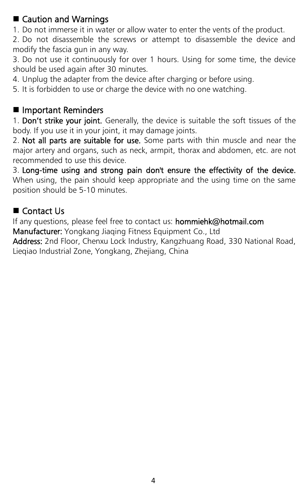■ Caution and Warnings<br>1. Do not immerse it in water or allow water to enter the vents of the product.

2. Do not disassemble the screws or attempt to disassemble the device and modify the fascia gun in any way.

3. Do not use it continuously for over 1 hours. Using for some time, the device should be used again after 30 minutes.

4. Unplug the adapter from the device after charging or before using.

5. It is forbidden to use or charge the device with no one watching.

#### **Important Reminders**

1. Don't strike your joint. Generally, the device is suitable the soft tissues of the body. If you use it in your joint, it may damage joints.

2. Not all parts are suitable for use. Some parts with thin muscle and near the major artery and organs, such as neck, armpit, thorax and abdomen, etc. are not recommended to use this device.

3. Long-time using and strong pain don't ensure the effectivity of the device. When using, the pain should keep appropriate and the using time on the same position should be 5-10 minutes.

#### ■ Contact Us

If any questions, please feel free to contact us: hommiehk@hotmail.com

Manufacturer: Yongkang Jiaqing Fitness Equipment Co., Ltd

Address: 2nd Floor, Chenxu Lock Industry, Kangzhuang Road, 330 National Road, Lieqiao Industrial Zone, Yongkang, Zhejiang, China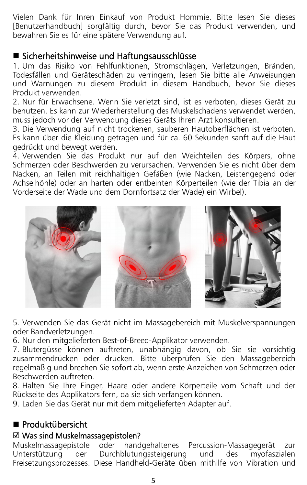Vielen Dank für Inren Einkauf von Produkt Hommie. Bitte lesen Sie dieses [Benutzerhandbuch] sorgfältig durch, bevor Sie das Produkt verwenden, und bewahren Siees für eine spätere Verwendung auf.

#### Sicherheitshinweise und Haftungsausschlüsse

1. Um das Risiko von Fehlfunktionen, Stromschlägen, Verletzungen, Bränden, Todesfällen und Geräteschäden zu verringern, lesen Sie bitte alle Anweisungen und Warnungen zu diesem Produkt in diesem Handbuch, bevor Sie dieses Produkt verwenden.

2. Nur für Erwachsene. Wenn Sie verletzt sind, ist es verboten, dieses Gerät zu benutzen. Es kann zur Wiederherstellung des Muskelschadens verwendet werden, muss jedoch vor der Verwendung dieses Geräts Ihren Arzt konsultieren.

3. Die Verwendung auf nicht trockenen, sauberen Hautoberflächen ist verboten. Es kann über die Kleidung getragen und für ca. 60 Sekunden sanft auf die Haut gedrückt und bewegt werden.

4. Verwenden Sie das Produkt nur auf den Weichteilen des Körpers, ohne Schmerzen oder Beschwerden zu verursachen. Verwenden Sie es nicht über dem Nacken, an Teilen mit reichhaltigen Gefäßen (wie Nacken, Leistengegend oder Achselhöhle) oder an harten oder entbeinten Körperteilen (wie der Tibia an der Vorderseite der Wade und dem Dornfortsatz der Wade) ein Wirbel).



5. Verwenden Sie dasGerät nicht im Massagebereich mit Muskelverspannungen oder Bandverletzungen.

6. Nur den mitgelieferten Best-of-Breed-Applikator verwenden.

7. Blutergüsse können auftreten, unabhängig davon, ob Sie sie vorsichtig zusammendrücken oder drücken. Bitte überprüfen Sie den Massagebereich regelmäßig und brechen Sie sofortab, wenn erste Anzeichen von Schmerzen oder Beschwerden auftreten.

8. Halten Sie Ihre Finger, Haare oder andere Körperteile vom Schaft und der Rückseite des Applikators fern, da sie sich verfangen können.

9. Laden Sie das Gerät nur mit dem mitgelieferten Adapter auf.

#### Produktübersicht

#### ☑ Was sind Muskelmassagepistolen?

Muskelmassagepistole oder handgehaltenes Percussion-Massagegerät zur Unterstützung der Durchblutungssteigerung und des myofaszialen Freisetzungsprozesses. Diese Handheld-Geräte üben mithilfe von Vibration und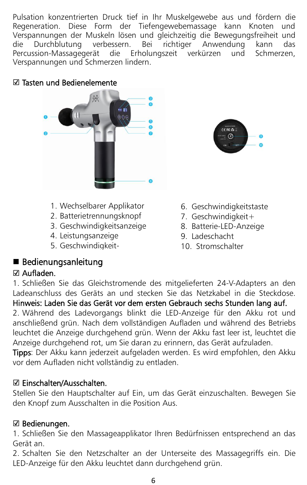Pulsation konzentrierten Druck tief in Ihr Muskelgewebe aus und fördern die Regeneration. Diese Form der Tiefengewebemassage kann Knoten und Verspannungen der Muskeln lösen und gleichzeitig die Bewegungsfreiheit und die Durchblutung verbessern. Bei richtiger Anwendung kann das<br>Percussion-Massagegerät die Erholungszeit verkürzen und Schmerzen, Percussion-Massagegerät die Erholungszeit verkürzen und Verspannungen und Schmerzen lindern.

#### ☑ Tasten und Bedienelemente



- 1. Wechselbarer Applikator
- 2. Batterietrennungsknopf
- 3. Geschwindigkeitsanzeige
- 4. Leistungsanzeige
- 5. Geschwindigkeit-



- 6. Geschwindigkeitstaste
- 7. Geschwindigkeit+
- 8. Batterie-LED-Anzeige
- 9. Ladeschacht
- 10. Stromschalter

#### Bedienungsanleitung

#### ☑ Aufladen.

1. Schließen Sie das Gleichstromende des mitgelieferten 24-V-Adapters an den Ladeanschluss des Geräts an und stecken Sie das Netzkabel in die Steckdose. Hinweis: Laden Sie das Gerät vor dem ersten Gebrauch sechs Stunden lang auf.

2. Während des Ladevorgangs blinkt die LED-Anzeige für den Akku rot und anschließend grün. Nach dem vollständigen Aufladen und während des Betriebs leuchtet die Anzeige durchgehend grün. Wenn der Akku fast leer ist, leuchtet die Anzeige durchgehend rot, um Sie daran zu erinnern, das Gerät aufzuladen.

Tipps: Der Akku kann jederzeit aufgeladen werden. Es wird empfohlen, den Akku vor dem Aufladen nicht vollständig zu entladen.

#### ☑ Einschalten/Ausschalten.

Stellen Sie den Hauptschalter auf Ein, um das Gerät einzuschalten. Bewegen Sie den Knopf zum Ausschalten in die Position Aus.

#### ☑ Bedienungen.

1. Schließen Sie den Massageapplikator Ihren Bedürfnissen entsprechend an das Gerät an.

2. Schalten Sie den Netzschalter an der Unterseite des Massagegriffs ein. Die LED-Anzeige für den Akku leuchtet dann durchgehend grün.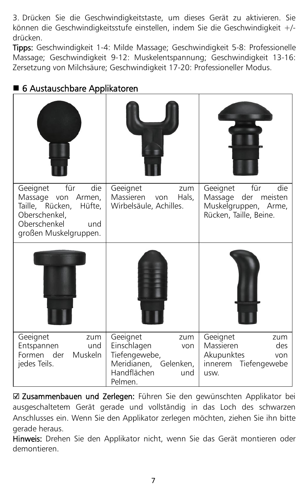3. Drücken Sie die Geschwindigkeitstaste, um dieses Gerät zu aktivieren. Sie können die Geschwindigkeitsstufe einstellen, indem Sie die Geschwindigkeit +/ drücken.

Tipps: Geschwindigkeit 1-4: Milde Massage; Geschwindigkeit 5-8: Professionelle Massage; Geschwindigkeit 9-12: Muskelentspannung; Geschwindigkeit 13-16: Zersetzung von Milchsäure; Geschwindigkeit 17-20: Professioneller Modus.

| für<br>die<br>Geeignet<br>Massage von Armen,<br>Taille, Rücken,<br>Hüfte,<br>Oberschenkel,<br>Oberschenkel<br>und<br>großen Muskelgruppen. | Geeignet<br>zum<br>Massieren<br>Hals,<br>von<br>Wirbelsäule, Achilles.                                           | für<br>die<br>Geeignet<br>Massage der meisten<br>Muskelgruppen, Arme,<br>Rücken, Taille, Beine. |
|--------------------------------------------------------------------------------------------------------------------------------------------|------------------------------------------------------------------------------------------------------------------|-------------------------------------------------------------------------------------------------|
|                                                                                                                                            |                                                                                                                  |                                                                                                 |
| Geeignet<br>zum<br>Entspannen<br>und<br>Formen der<br>Muskeln<br>jedes Teils.                                                              | Geeignet<br>zum<br>Einschlagen<br>von<br>Tiefengewebe,<br>Meridianen, Gelenken,<br>Handflächen<br>und<br>Pelmen. | Geeignet<br>zum<br>des<br>Massieren<br>Akupunktes<br>von<br>Tiefengewebe<br>innerem<br>usw.     |

#### ■ 6 Austauschbare Applikatoren

☑ Zusammenbauen und Zerlegen: Führen Sie den gewünschten Applikator bei ausgeschaltetem Gerät gerade und vollständig in das Loch des schwarzen Anschlusses ein. Wenn Sie den Applikator zerlegen möchten, ziehen Sie ihn bitte gerade heraus.

Hinweis: Drehen Sie den Applikator nicht, wenn Sie das Gerät montieren oder demontieren.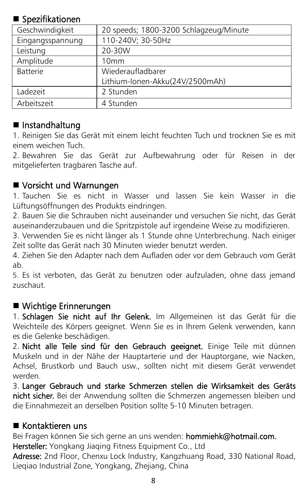#### ■ Spezifikationen

| 20 speeds; 1800-3200 Schlagzeug/Minute |
|----------------------------------------|
| 110-240V; 30-50Hz                      |
| 20-30W                                 |
| 10mm                                   |
| Wiederaufladbarer                      |
| Lithium-Ionen-Akku(24V/2500mAh)        |
| 2 Stunden                              |
| 4 Stunden                              |
|                                        |

#### $\blacksquare$  Instandhaltung

1. Reinigen Sie das Gerät mit einem leicht feuchten Tuch und trocknen Sie es mit einem weichen Tuch.

2. Bewahren Sie das Gerät zur Aufbewahrung oder für Reisen in der mitgelieferten tragbaren Tasche auf.

#### ■ Vorsicht und Warnungen

1. Tauchen Sie es nicht in Wasser und lassen Sie kein Wasser in die Lüftungsöffnungen des Produkts eindringen.

2. Bauen Sie die Schrauben nicht auseinander und versuchen Sie nicht, das Gerät auseinanderzubauen und die Spritzpistole auf irgendeine Weise zu modifizieren.

3. Verwenden Sie es nicht länger als 1 Stunde ohne Unterbrechung. Nach einiger Zeit sollte dasGerät nach 30 Minuten wieder benutzt werden.

4. Ziehen Sie den Adapter nach dem Aufladen oder vor dem Gebrauch vom Gerät ab.

5. Es ist verboten, das Gerät zu benutzen oder aufzuladen, ohne dass jemand zuschaut.

#### Wichtige Erinnerungen

1. Schlagen Sie nicht auf Ihr Gelenk. Im Allgemeinen ist das Gerät für die Weichteile des Körpers geeignet. Wenn Sie es in Ihrem Gelenk verwenden, kann es die Gelenke beschädigen.

2. Nicht alle Teile sind für den Gebrauch geeignet. Einige Teile mit dünnen Muskeln und in der Nähe der Hauptarterie und der Hauptorgane, wie Nacken, Achsel, Brustkorb und Bauch usw., sollten nicht mit diesem Gerät verwendet werden.

3. Langer Gebrauch und starke Schmerzen stellen die Wirksamkeit des Geräts nicht sicher. Bei der Anwendung sollten die Schmerzen angemessen bleiben und die Einnahmezeit an derselben Position sollte 5-10 Minuten betragen.

#### ■ Kontaktieren uns

Bei Fragen können Sie sich gerne an uns wenden: hommiehk@hotmail.com.

Hersteller: Yongkang Jiaqing Fitness Equipment Co., Ltd

Adresse: 2nd Floor, Chenxu Lock Industry, Kangzhuang Road, 330 National Road, Lieqiao Industrial Zone, Yongkang, Zhejiang, China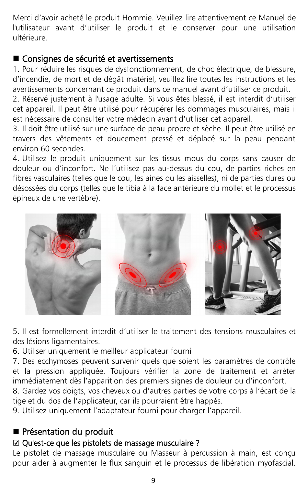Merci d'avoir acheté le produit Hommie. Veuillez lire attentivement ce Manuel de l'utilisateur avant d'utiliser le produit et le conserver pour une utilisation ultérieure.

#### Consignes de sécurité et avertissements

1. Pour réduire les risques de dysfonctionnement, de choc électrique, de blessure, d'incendie, de mort et de dégât matériel, veuillez lire toutes les instructions etles avertissements concernant ce produit dans ce manuel avant d'utiliser ce produit.

2. Réservé justement à l'usage adulte. Si vous êtes blessé, il est interdit d'utiliser cet appareil. Il peut être utilisé pour récupérer les dommages musculaires, mais il est nécessaire de consulter votre médecin avant d'utiliser cet appareil.

3. Il doit être utilisé sur une surface de peau propre et sèche. Il peut être utilisé en travers des vêtements et doucement pressé et déplacé sur la peau pendant environ 60 secondes.

4. Utilisez le produit uniquement sur les tissus mous du corps sans causer de douleur ou d'inconfort. Ne l'utilisez pas au-dessus du cou, de parties riches en fibres vasculaires (telles que le cou, les aines ou les aisselles), nide parties dures ou désossées du corps (telles que le tibia à la face antérieure du mollet et le processus épineux de une vertèbre).



5. Il est formellement interdit d'utiliser le traitement des tensions musculaires et des lésions ligamentaires.

6. Utiliser uniquement le meilleur applicateur fourni

7. Des ecchymoses peuvent survenir quels que soient les paramètres de contrôle et la pression appliquée. Toujours vérifier la zone de traitement et arrêter

8. Gardez vos doigts, vos cheveux ou d'autres parties de votre corps à l'écart de la tige et du dos de l'applicateur, car ils pourraient être happés.

9. Utilisez uniquement l'adaptateur fourni pour charger l'appareil.

#### Présentation du produit

#### ☑ Qu'est-ce que les pistolets de massage musculaire ?

Le pistolet de massage musculaire ou Masseur à percussion à main, est conçu pour aider à augmenter le flux sanguin et le processus de libération myofascial.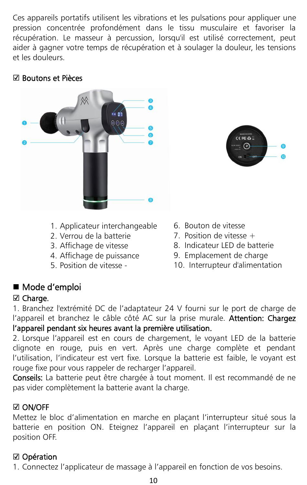Ces appareils portatifs utilisent les vibrations et les pulsations pour appliquer une pression concentrée profondément dans le tissu musculaire et favoriser la récupération. Le masseur à percussion, lorsqu'il est utilisé correctement, peut aider à gagner votre temps de récupération et à soulager la douleur, les tensions et les douleurs.

#### ☑ Boutons etPièces





- 1. Applicateur interchangeable
- 2. Verrou de la batterie
- 3. Affichage de vitesse
- 4. Affichage de puissance
- 5. Position de vitesse -
- 6. Bouton de vitesse
- 7. Position de vitesse  $+$
- 8. Indicateur LED de batterie
- 9. Emplacement de charge
- 10. Interrupteur d'alimentation

### ■ Mode d'emploi

#### ☑ Charge.

1. Branchez l'extrémité DC de l'adaptateur 24 V fourni sur le port de charge de l'appareil et branchez le câble côté AC sur la prise murale. Attention: Chargez l'appareil pendant six heures avant la première utilisation.

2. Lorsque l'appareil est en cours de chargement, le voyant LED de la batterie clignote en rouge, puis en vert. Après une charge complète et pendant l'utilisation, l'indicateur est vert fixe. Lorsque la batterie est faible, le voyant est rouge fixe pour vous rappeler de recharger l'appareil.

Conseils: La batterie peut être chargée à tout moment. Il est recommandé de ne pas vider complètement la batterie avant la charge.

#### ☑ ON/OFF

Mettez le bloc d'alimentation en marche en plaçant l'interrupteur situé sous la batterie en position ON. Eteignez l'appareil en plaçant l'interrupteur sur la position OFF.

#### ☑ Opération

1. Connectez l'applicateur de massage à l'appareil en fonction de vos besoins.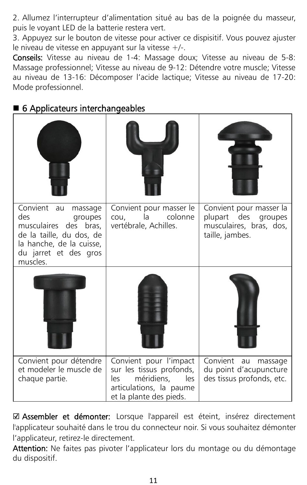2. Allumez l'interrupteur d'alimentation situé au bas de la poignée du masseur, puis le voyant LED de la batterie restera vert.

3. Appuyez sur le bouton de vitesse pour activer ce dispisitif. Vous pouvez ajuster le niveau de vitesse en appuyant sur la vitesse +/-.

Conseils: Vitesse au niveau de 1-4: Massage doux; Vitesse au niveau de 5-8: Massage professionnel; Vitesse au niveau de 9-12: Détendre votre muscle: Vitesse au niveau de 13-16: Décomposer l'acide lactique; Vitesse au niveau de 17-20: Mode professionnel.

## Convient au massage | Convient pour masser le | Convient pour mas des des groupes cou, la colones des des bras, vertébrale, Achilles. musculaires des bras, de la taille, du dos, de la hanche, de la cuisse, du jarret et des gros muscles. cou, la colonne | plupart des groupes | Convient pour masser le | Convient pour masser la |<br>cou, la colonne | plupart des groupes |<br>vertébrale, Achilles. musculaires, bras, dos, taille, jambes. Convient pour détendre et modeler le muscle de Convient pour détendre Convient pour l'impact Convient au massage et modeler le muscle de sur les tissus profonds, du point d'acupuncture chaque partie. sur les tissus profonds, les méridiens, les des tissus profonds, etc. articulations, la paume<br>et la plante des pieds. Convient pour l'impact Convient au massage<br>sur les tissus profonds, du point d'acupuncture<br>les méridiens, les des tissus profonds, etc.<br>articulations, la paume<br>et la plante des pieds. du point d'acupuncture

6 Applicateurs interchangeables

☑ Assembler et démonter: Lorsque l'appareil est éteint, insérez directement l'applicateur souhaité dans le trou du connecteur noir. Si vous souhaitez démonter l'applicateur, retirez-le directement.

Attention: Ne faites pas pivoter l'applicateur lors du montage ou du démontage du dispositif.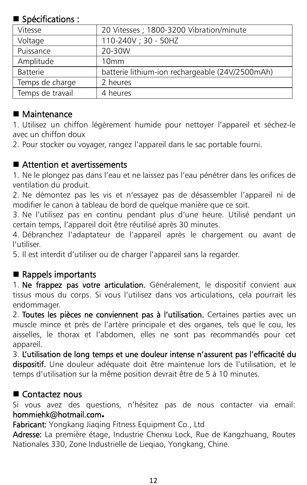#### Spécifications :

| Vitesse          | 20 Vitesses ; 1800-3200 Vibration/minute        |
|------------------|-------------------------------------------------|
| Voltage          | 110-240V; 30 - 50HZ                             |
| Puissance        | 20-30W                                          |
| Amplitude        | 10 <sub>mm</sub>                                |
| <b>Batterie</b>  | batterie lithium-ion rechargeable (24V/2500mAh) |
| Temps de charge  | 2 heures                                        |
| Temps de travail | 4 heures                                        |
|                  |                                                 |

#### ■ Maintenance

1. Utilisez un chiffon légèrement humide pour nettoyer l'appareil et séchez-le avec un chiffon doux

2. Pour stocker ou voyager, rangez l'appareil dans le sac portable fourni.

#### ■ Attention et avertissements

1. Ne le plongez pas dans l'eau et ne laissez pas l'eau pénétrer dans les orifices de ventilation du produit.

2. Ne démontez pas les vis et n'essayez pas de désassembler l'appareil ni de modifier le canon à tableau de bord de quelque manière que ce soit.

3. Ne l'utilisez pas en continu pendant plus d'une heure. Utilisé pendant un certain temps, l'appareil doit être réutilisé après 30 minutes.

4. Débranchez l'adaptateur de l'appareil après le chargement ou avant de l'utiliser.

5. Il est interdit d'utiliser ou de charger l'appareil sans la regarder.

#### $\blacksquare$  Rappels importants

1. Ne frappez pas votre articulation. Généralement, le dispositif convient aux tissus mous du corps. Si vous l'utilisez dans vos articulations, cela pourrait les endommager.

2. Toutes les pièces ne conviennent pas à l'utilisation. Certaines parties avec un muscle mince et près de l'artère principale et des organes, tels que le cou, les aisselles, le thorax et l'abdomen, elles ne sont pas recommandés pour cet appareil.

3. L'utilisation de long temps et une douleur intense n'assurent pas l'efficacité du dispositif. Une douleur adéquate doit être maintenue lors de l'utilisation, et le temps d'utilisation sur la même position devrait être de 5 à 10 minutes.

#### ■ Contactez nous

Si vous avez des questions, n'hésitez pas de nous contacter via email: [hommiehk@hotmail.com](mailto:hommiehk@hotmail.com)**.**

Fabricant: Yongkang Jiaqing Fitness Equipment Co., Ltd

Adresse: La première étage, Industrie Chenxu Lock, Rue de Kangzhuang, Routes Nationales 330, Zone Industrielle de Lieqiao, Yongkang, Chine.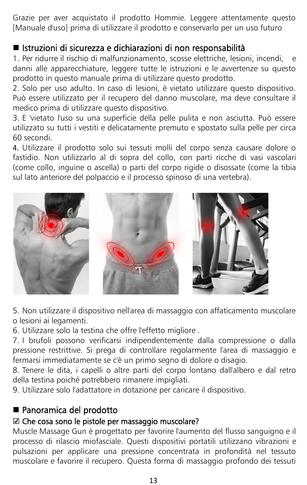Grazie per aver acquistato il prodotto Hommie. Leggere attentamente questo [Manuale d'uso] prima di utilizzare il prodotto e conservarlo per un uso futuro

#### Istruzioni di sicurezza e dichiarazioni di non responsabilità

1. Per ridurre il rischio dimalfunzionamento, scosse elettriche, lesioni, incendi, e danni alle apparecchiature, leggere tutte le istruzioni e le avvertenze su questo prodotto in questo manuale prima di utilizzare questo prodotto.

2. Solo per uso adulto. In caso di lesioni, è vietato utilizzare questo dispositivo. Può essere utilizzato per il recupero del danno muscolare, ma deve consultare il medico prima di utilizzare questo dispositivo.

3. E 'vietato l'uso su una superficie della pelle pulita e non asciutta. Può essere utilizzato su tutti i vestiti e delicatamente premuto e spostato sulla pelle per circa 60 secondi.

4. Utilizzare il prodotto solo sui tessuti molli del corpo senza causare dolore o fastidio. Non utilizzarlo al di sopra del collo, con parti ricche di vasi vascolari (come collo, inguine o ascella) o parti del corpo rigide o disossate (come la tibia sul lato anteriore del polpaccio e il processo spinoso di una vertebra).



5. Non utilizzare il dispositivo nell'area di massaggio con affaticamento muscolare o lesioni ai legamenti.

6. Utilizzare solo la testina che offre l'effetto migliore .

7. I brufoli possono verificarsi indipendentemente dalla compressione o dalla pressione restrittive. Si prega di controllare regolarmente l'area di massaggio e fermarsi immediatamente se c'è un primo segno di dolore o disagio.

8. Tenere le dita, i capelli o altre parti del corpo lontano dall'albero e dal retro della testina poiché potrebbero rimanere impigliati.

9. Utilizzare solo l'adattatore in dotazione per caricare il dispositivo.

#### ■ Panoramica del prodotto

#### ☑ Che cosa sono le pistole per massaggio muscolare?

Muscle Massage Gun è progettato per favorire l'aumento del flusso sanguigno e il processo di rilascio miofasciale. Questi dispositivi portatili utilizzano vibrazioni e pulsazioni per applicare una pressione concentrata in profondità nel tessuto muscolare e favorire il recupero. Questa forma di massaggio profondo dei tessuti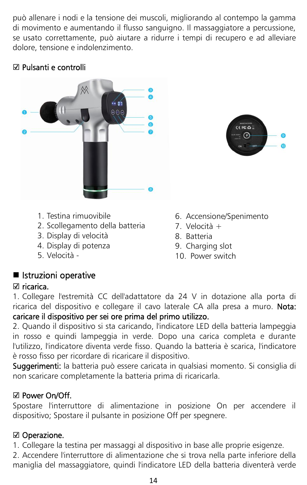può allenare i nodie la tensione dei muscoli, migliorando al contempo lagamma di movimento e aumentando il flusso sanguigno. Il massaggiatore a percussione, se usato correttamente, può aiutare a ridurre i tempi di recupero e ad alleviare dolore, tensione e indolenzimento.

#### ☑ Pulsanti e controlli





- 1. Testina rimuovibile
- 2. Scollegamento della batteria
- 3. Display di velocità
- 4. Display di potenza
- 5. Velocità -
- 6. Accensione/Spenimento
- 7. Velocità +
- 8. Batteria
- 9. Charging slot
- 10. Power switch

#### **I** Istruzioni operative

#### ☑ ricarica.

1. Collegare l'estremità CC dell'adattatore da 24 V in dotazione alla porta di ricarica del dispositivo e collegare il cavo laterale CA alla presa a muro. Nota: caricare il dispositivo per sei ore prima del primo utilizzo.

2. Quando il dispositivo si sta caricando, l'indicatore LED della batteria lampeggia in rosso e quindi lampeggia in verde. Dopo una carica completa e durante l'utilizzo, l'indicatore diventa verde fisso. Quando la batteria è scarica, l'indicatore è rosso fisso per ricordare di ricaricare il dispositivo.

Suggerimenti: la batteria può essere caricata in qualsiasi momento. Si consiglia di non scaricare completamente la batteria prima di ricaricarla.

#### ☑ Power On/Off.

Spostare l'interruttore di alimentazione in posizione On per accendere il dispositivo; Spostare il pulsante in posizione Off per spegnere.

#### ☑ Operazione.

1. Collegare la testina per massaggi al dispositivo in base alle proprie esigenze.

2. Accendere l'interruttore di alimentazione che si trova nella parte inferiore della maniglia del massaggiatore, quindi l'indicatore LED della batteria diventerà verde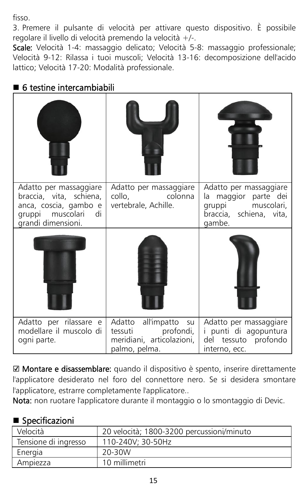fisso.

3. Premere il pulsante di velocità per attivare questo dispositivo. È possibile regolare il livello di velocità premendo la velocità +/-.

Scale: Velocità 1-4: massaggio delicato; Velocità 5-8: massaggio professionale; Velocità 9-12: Rilassa i tuoi muscoli; Velocità 13-16: decomposizione dell'acido lattico; Velocità 17-20: Modalità professionale.

| Adatto per massaggiare<br>braccia, vita, schiena,<br>anca, coscia, gambo e<br>gruppi muscolari<br>di d<br>grandi dimensioni. | Adatto per massaggiare<br>colonna<br>collo,<br>vertebrale, Achille.                         | Adatto per massaggiare<br>la maggior parte dei<br>muscolari,<br>gruppi<br>braccia, schiena, vita,<br>gambe. |
|------------------------------------------------------------------------------------------------------------------------------|---------------------------------------------------------------------------------------------|-------------------------------------------------------------------------------------------------------------|
|                                                                                                                              |                                                                                             |                                                                                                             |
| Adatto per rilassare e<br>modellare il muscolo di<br>ogni parte.                                                             | Adatto all'impatto<br>su<br>tessuti profondi,<br>meridiani, articolazioni,<br>palmo, pelma. | Adatto per massaggiare<br>i punti di agopuntura<br>del tessuto profondo<br>interno, ecc.                    |

### ■ 6 testine intercambiabili

☑ Montare e disassemblare: quando il dispositivo è spento, inserire direttamente l'applicatore desiderato nel foro del connettore nero. Se si desidera smontare l'applicatore, estrarre completamente l'applicatore..

Nota: non ruotare l'applicatore durante il montaggio o lo smontaggio di Devic.

#### Specificazioni

| Velocità             | 20 velocità; 1800-3200 percussioni/minuto |
|----------------------|-------------------------------------------|
| Tensione di ingresso | 110-240V: 30-50Hz                         |
| Energia              | 20-30W                                    |
| Ampiezza             | 10 millimetri                             |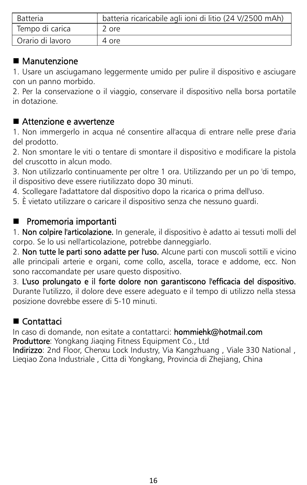| <b>Batteria</b>  | batteria ricaricabile agli ioni di litio (24 V/2500 mAh) |  |
|------------------|----------------------------------------------------------|--|
| Tempo di carica  | 2 ore                                                    |  |
| Orario di lavoro | 4 ore                                                    |  |

#### ■ Manutenzione

1. Usare un asciugamano leggermente umido per pulire il dispositivo e asciugare con un panno morbido.

2. Per la conservazione o il viaggio, conservare il dispositivo nella borsa portatile in dotazione.

#### ■ Attenzione e awertenze

1. Non immergerlo in acqua né consentire all'acqua di entrare nelle prese d'aria del prodotto.

2. Non smontare le viti o tentare di smontare il dispositivo e modificare la pistola del cruscotto in alcun modo.

3. Non utilizzarlo continuamente per oltre 1 ora. Utilizzando per un po 'di tempo, il dispositivo deve essere riutilizzato dopo 30 minuti.

4. Scollegare l'adattatore dal dispositivo dopo la ricarica o prima dell'uso.

5. È vietato utilizzare o caricare il dispositivo senza che nessuno guardi.

#### **Promemoria importanti**

1. Non colpire l'articolazione. In generale, il dispositivo è adatto ai tessuti molli del corpo. Se lo usi nell'articolazione, potrebbe danneggiarlo.

2. Non tutte le parti sono adatte per l'uso. Alcune parti con muscoli sottili e vicino alle principali arterie e organi, come collo, ascella, torace e addome, ecc. Non sono raccomandate per usare questo dispositivo.

3. L'uso prolungato e il forte dolore non garantiscono l'efficacia del dispositivo. Durante l'utilizzo, ildolore deve essere adeguato e il tempo di utilizzo nella stessa posizione dovrebbe essere di 5-10 minuti.

#### ■ Contattaci

In caso di domande, non esitate a contattarci: hommiehk@hotmail.com

Produttore: Yongkang Jiaqing Fitness Equipment Co., Ltd

Indirizzo: 2nd Floor, Chenxu Lock Industry, Via Kangzhuang , Viale 330 National , Lieqiao Zona Industriale , Citta di Yongkang, Provincia di Zhejiang, China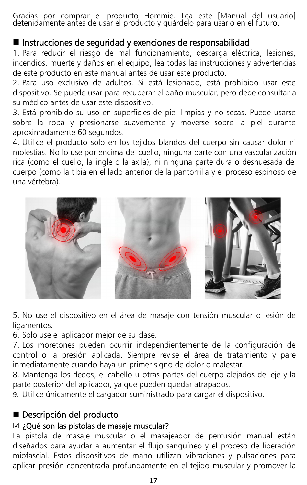Gracias por comprar el producto Hommie. Lea este [Manual del usuario] detenidamente antes de usar el producto y guárdelo para usarlo en elfuturo.

#### Instrucciones de seguridad y exenciones de responsabilidad

1. Para reducir el riesgo de mal funcionamiento, descarga eléctrica, lesiones, incendios, muerte y daños en el equipo, lea todas las instrucciones y advertencias de este producto en este manual antes de usar este producto.

2. Para uso exclusivo de adultos. Si está lesionado, está prohibido usar este dispositivo. Se puede usar para recuperar el daño muscular, pero debe consultar a su médico antes de usar este dispositivo.

3. Está prohibido su uso en superficies de piel limpias y no secas. Puede usarse sobre la ropa y presionarse suavemente y moverse sobre la piel durante aproximadamente 60 segundos.

4. Utilice el producto solo en los tejidos blandos del cuerpo sin causar dolor ni molestias. No lo use por encima del cuello, ninguna parte con una vascularización rica (como el cuello, la ingle o laaxila), ni ninguna parte dura o deshuesada del cuerpo (como la tibia en el lado anterior de la pantorrilla y el proceso espinoso de una vértebra).



5. No use el dispositivo en el área de masaje con tensión muscular o lesión de ligamentos.

6. Solo use el aplicador mejor de su clase.<br>7. Los moretones pueden ocurrir independientemente de la configuración de control o la presión aplicada. Siempre revise el área de tratamiento y pare inmediatamente cuando haya un primer signo de dolor o malestar.

8. Mantenga los dedos, el cabello u otras partes del cuerpo alejados del eje y la parte posterior del aplicador, ya que pueden quedar atrapados.

9. Utilice únicamente el cargador suministrado para cargar el dispositivo.

#### ■ Descripción del producto

#### ☑ **¿**Qué son las pistolas de masaje muscular?

La pistola de masaje muscular o el masajeador de percusión manual están diseñados para ayudar a aumentar el flujo sanguíneo y el proceso de liberación miofascial. Estos dispositivos de mano utilizan vibraciones y pulsaciones para aplicar presión concentrada profundamente en el tejido muscular y promover la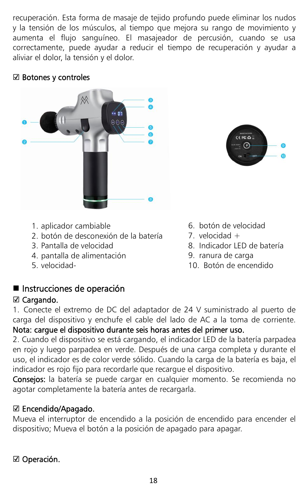recuperación. Esta forma de masaje de tejido profundo puede eliminar los nudos y la tensión de los músculos, al tiempo que mejora su rango demovimiento y aumenta el flujo sanguíneo. El masajeador de percusión, cuando se usa correctamente, puede ayudar a reducir el tiempo de recuperación y ayudara aliviar el dolor, la tensión y el dolor.

#### ☑ Botones y controles





- 1. aplicador cambiable
- 2. botón de desconexión de la batería
- 3. Pantalla de velocidad
- 4. pantalla de alimentación
- 5. velocidad-
- 6. botón de velocidad
- 7. velocidad  $+$
- 8. Indicador LED de batería
- 9. ranura de carga
- 10. Botón de encendido

#### ■ Instrucciones de operación

#### ☑ Cargando.

1. Conecte el extremo de DC del adaptador de 24 V suministrado al puerto de carga del dispositivo y enchufe el cable del lado de AC a la toma de corriente. Nota: carque el dispositivo durante seis horas antes del primer uso.

2. Cuando el dispositivo se está cargando, elindicador LED de la batería parpadea en rojo y luego parpadea en verde. Después de una carga completa y durante el uso, elindicador es de color verde sólido. Cuando la carga de la batería es baja, el indicador es rojo fijo para recordarle que recargue el dispositivo.

Consejos: la batería se puede cargar en cualquier momento. Se recomienda no agotar completamente la batería antes de recargarla.

#### ☑ Encendido/Apagado.

Mueva el interruptor de encendido a la posición de encendido para encender el dispositivo; Mueva el botón a la posición de apagado para apagar.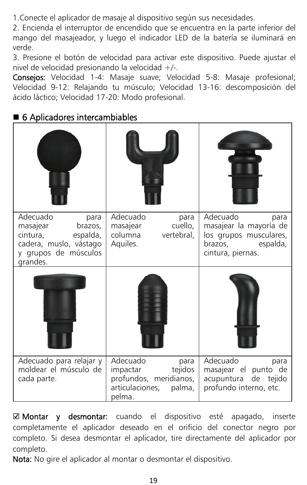1.Conecte el aplicador de masaje al dispositivo según sus necesidades.

2. Encienda el interruptor de encendido que se encuentra en laparte inferior del mango del masajeador, y luego el indicador LED de la batería se iluminará en verde.

3. Presione el botón de velocidad para activar este dispositivo. Puede ajustar el nivel de velocidad presionando la velocidad +/-.

Consejos: Velocidad 1-4: Masaje suave; Velocidad 5-8: Masaje profesional; Velocidad 9-12: Relajando tu músculo; Velocidad 13-16: descomposición del ácido láctico; Velocidad 17-20: Modo profesional.

#### ■ 6 Aplicadores intercambiables

| Adecuado<br>para<br>masajear<br>brazos,<br>cintura,<br>espalda,<br>cadera, muslo, vástago<br>y grupos de músculos<br>grandes. | Adecuado<br>para<br>cuello.<br>masajear<br>columna<br>vertebral,<br>Aquiles.                             | Adecuado<br>para<br>masajear la mayoría de<br>los grupos musculares,<br>brazos,<br>espalda,<br>cintura, piernas. |
|-------------------------------------------------------------------------------------------------------------------------------|----------------------------------------------------------------------------------------------------------|------------------------------------------------------------------------------------------------------------------|
|                                                                                                                               |                                                                                                          |                                                                                                                  |
| Adecuado para relajar y<br>moldear el músculo de<br>cada parte.                                                               | Adecuado<br>para<br>tejidos<br>impactar<br>profundos, meridianos,<br>articulaciones,<br>palma,<br>pelma. | Adecuado<br>para<br>masajear el punto de<br>acupuntura de tejido<br>profundo interno, etc.                       |

☑ Montar y desmontar: cuando el dispositivo esté apagado, inserte completamente el aplicador deseado en el orificio del conector negro por completo. Si desea desmontar el aplicador, tire directamente del aplicador por completo.

Nota: No gire el aplicador al montar o desmontar el dispositivo.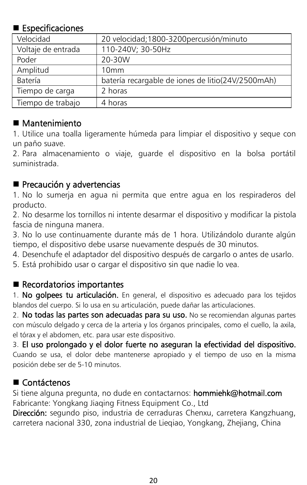#### **Especificaciones**

| Velocidad          | 20 velocidad;1800-3200percusión/minuto            |
|--------------------|---------------------------------------------------|
| Voltaje de entrada | 110-240V; 30-50Hz                                 |
| Poder              | 20-30W                                            |
| Amplitud           | 10mm                                              |
| Batería            | batería recargable de iones de litio(24V/2500mAh) |
| Tiempo de carga    | 2 horas                                           |
| Tiempo de trabajo  | 4 horas                                           |

#### ■ Mantenimiento

1. Utilice una toalla ligeramente húmeda para limpiar el dispositivo y seque con un paño suave.<br>2. Para almacenamiento o viaje, guarde el dispositivo en la bolsa portátil

suministrada.

#### Precaución y advertencias

1. No lo sumerja en agua ni permita que entre agua en los respiraderos del producto.

2. No desarme los tornillos ni intente desarmar el dispositivo y modificar la pistola fascia de ninguna manera.

3. No lo use continuamente durante más de 1 hora. Utilizándolo durante algún tiempo, el dispositivo debe usarse nuevamente después de 30 minutos.

4. Desenchufe el adaptador del dispositivo después de cargarlo o antes de usarlo.

5. Está prohibido usar o cargar el dispositivo sin que nadie lo vea.

#### Recordatorios importantes

1. No golpees tu articulación. En general, el dispositivo es adecuado para los tejidos blandos del cuerpo. Silo usa en su articulación, puede dañar las articulaciones.

2. No todas las partes son adecuadas para su uso. No se recomiendan algunas partes con músculo delgado y cerca de la arteria y los órganos principales, como el cuello, la axila, el tórax y el abdomen, etc. para usar este dispositivo.

3. El uso prolongado y el dolor fuerte no aseguran la efectividad del dispositivo. Cuando se usa, el dolor debe mantenerse apropiado y el tiempo de uso en la misma posición debe ser de 5-10 minutos.

#### ■ Contáctenos

Si tiene alguna pregunta, no dude en contactarnos: hommiehk@hotmail.com Fabricante: Yongkang Jiaqing Fitness Equipment Co., Ltd

Dirección: segundo piso, industria de cerraduras Chenxu, carretera Kangzhuang, carretera nacional 330, zona industrial de Lieqiao, Yongkang, Zhejiang, China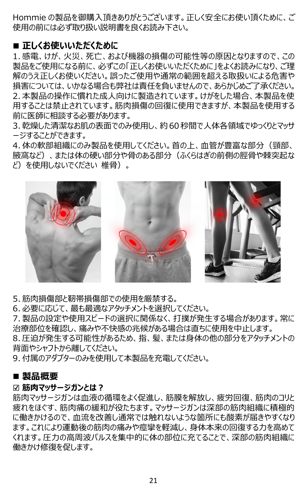Hommie の製品を御購入頂きありがとうございます。正しく安全にお使い頂くために、ご 使用の前には必ず取り扱い説明書を良くお読み下さい。

#### **■ 正しくお使いいただくために**

1. 感電、けが、火災、死亡、および機器の損傷の可能性等の原因となりますので、この 製品をご使用になる前に、必ずこの「正しくお使いいただくために」をよくお読みになり、ご理 解のうえ正しくお使いください。誤ったご使用や通常の範囲を超える取扱いによる危害や 損害については、いかなる場合も弊社は責任を負いませんので、あらかじめご了承ください。 2. 本製品の操作に慣れた成人向けに製造されています。けがをした場合、本製品を使 用することは禁止されています。筋肉損傷の回復に使用できますが、本製品を使用する 前に医師に相談する必要があります。

3. 乾燥した清潔なお肌の表面でのみ使用し、約60秒間で人体各領域でゆっくりとマッサ ージすることができます。

4. 体の軟部組織にのみ製品を使用してください。首の上、血管が豊富な部分(頸部、 腋窩など)、または体の硬い部分や骨のある部分(ふくらはぎの前側の脛骨や棘突起な ど)を使用しないでください 椎骨)。



5. 筋肉損傷部と靭帯損傷部での使用を厳禁する。

6. 必要に応じて、最も最適なアタッチメントを選択してください。

7. 製品の設定や使用スピードの選択に関係なく、打撲が発生する場合があります。常に 治療部位を確認し、痛みや不快感の兆候がある場合は直ちに使用を中止します。

8. 圧迫が発生する可能性があるため、指、髪、または身体の他の部分をアタッチメントの 背面やシャフトから離してください。

9. 付属のアダプターのみを使用して本製品を充電してください。

#### ■ 製品概要

#### ☑ **筋肉マッサージガンとは?**

筋肉マッサージガンは血液の循環をよく促進し、筋膜を解放し、疲労回復、筋肉のコリと 疲れをほぐす、筋肉痛の緩和が役たちます。マッサージガンは深部の筋肉組織に積極的 に働きかけるので、血流を改善し通常では触れないような箇所にも酸素が届きやすくなり ます。これにより運動後の筋肉の痛みや痙攣を軽減し、身体本来の回復する力を高めて くれます。圧力の高周波パルスを集中的に体の部位に充てることで、深部の筋肉組織に 働きかけ修復を促します。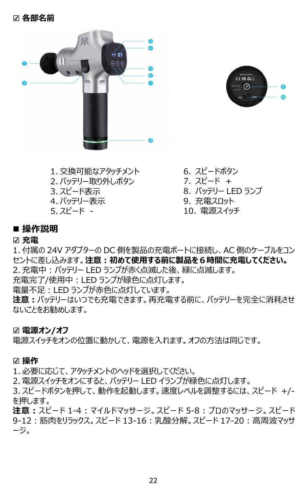



- 8. バッテリー LED ランプ 3. スピード表示 1. 交換可能なアタッチメント 2. バッテリー取り外しボタン<br>3. スピード表示 4. バッテリー表示 5. スピード -
- 6. スピードボタン 7. スピード +
	- 9. 充電スロット
	- 10. 電源スイッチ

#### ■ 操作説明

#### ☑ **充電**

1. 付属の 24V アダプターの DC 側を製品の充電ポートに接続し、AC 側のケーブルをコン セントに差し込みます。**注意:初めて使用する前に製品を6時間に充電してください。** 2. 充電中:バッテリー LED ランプが赤く点滅した後、緑に点滅します。 充電完了/使用中:LED ランプが緑色に点灯します。

電量不足:LED ランプが赤色に点灯しています。

**注意:**バッテリーはいつでも充電できます。再充電する前に、バッテリーを完全に消耗させ ないことをお勧めします。

#### ☑ **電源オン/オフ**

電源スイッチをオンの位置に動かして、電源を入れます。オフの方法は同じです。

#### ☑ **操作**

- 1. 必要に応じて、アタッチメントのヘッドを選択してください。
- 2. 電源スイッチをオンにすると、バッテリー LED イランプが緑色に点灯します。
- 3. スピードボタンを押して、動作を起動します。速度レベルを調整するには、スピード +/- を押します。
- **注意:**スピード 1-4:マイルドマッサージ。スピード 5-8:プロのマッサージ。スピード 9-12:筋肉をリラックス。スピード 13-16:乳酸分解。スピード 17-20:高周波マッサ ージ。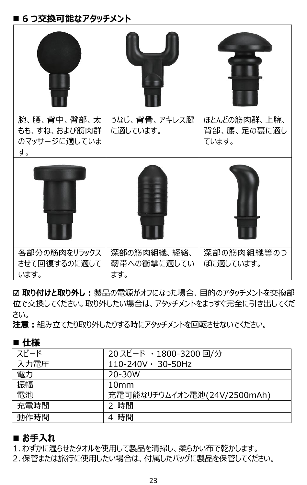#### ■ 6 つ交換可能なアタッチメント

| 腕、腰、背中、臀部、太<br>もも、すね、および筋肉群<br>のマッサージに適していま<br>す。 | うなじ、背骨、アキレス腱<br>に適しています。          | ほとんどの筋肉群、上腕、<br>背部、腰、足の裏に適し<br>ています。 |
|---------------------------------------------------|-----------------------------------|--------------------------------------|
|                                                   |                                   |                                      |
| 各部分の筋肉をリラックス<br>させて回復するのに適して<br>います。              | 深部の筋肉組織、経絡、<br>靭帯への衝撃に適してい<br>ます。 | 深部の筋肉組織等のつ<br>ぼに適しています。              |

☑ **取り付けと取り外し:**製品の電源がオフになった場合、目的のアタッチメントを交換部 位で交換してください。取り外したい場合は、アタッチメントをまっすぐ完全に引き出してくだ さい。

**注意:**組み立てたり取り外したりする時にアタッチメントを回転させないでください。

| ■ 仕様 |                             |  |
|------|-----------------------------|--|
| スピード | 20 スピード · 1800-3200 回/分     |  |
| 入力電圧 | $110-240V \cdot 30-50Hz$    |  |
| 電力   | 20-30W                      |  |
| 振幅   | 10mm                        |  |
| 電池   | 充電可能なリチウムイオン電池(24V/2500mAh) |  |
| 充電時間 | 時間                          |  |
| 動作時間 | 時間<br>4                     |  |

#### ■ お手入れ

1. わずかに湿らせたタオルを使用して製品を清掃し、柔らかい布で乾かします。

2. 保管または旅行に使用したい場合は、付属したバッグに製品を保管してください。